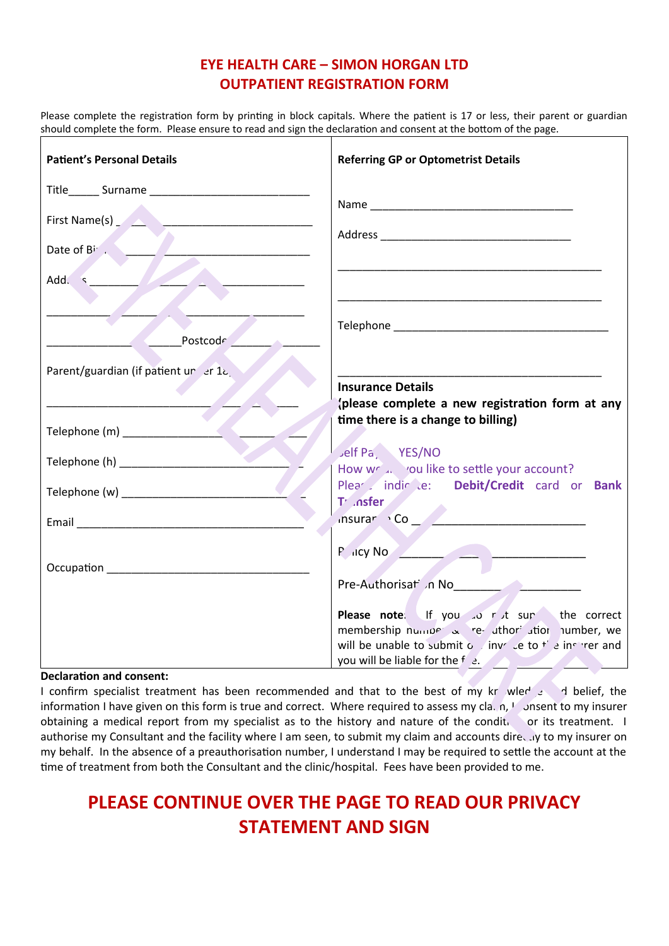# **EYE HEALTH CARE – SIMON HORGAN LTD OUTPATIENT REGISTRATION FORM**

Please complete the registration form by printing in block capitals. Where the patient is 17 or less, their parent or guardian should complete the form. Please ensure to read and sign the declaration and consent at the bottom of the page.

| <b>Patient's Personal Details</b>                                                                             | <b>Referring GP or Optometrist Details</b>                                                                                      |
|---------------------------------------------------------------------------------------------------------------|---------------------------------------------------------------------------------------------------------------------------------|
|                                                                                                               |                                                                                                                                 |
|                                                                                                               |                                                                                                                                 |
| Date of $B^i$ .                                                                                               |                                                                                                                                 |
| Add. 5                                                                                                        |                                                                                                                                 |
|                                                                                                               |                                                                                                                                 |
| Postcode                                                                                                      |                                                                                                                                 |
| Parent/guardian (if patient ur er 12)                                                                         |                                                                                                                                 |
|                                                                                                               | <b>Insurance Details</b><br>(please complete a new registration form at any                                                     |
|                                                                                                               | time there is a change to billing)                                                                                              |
|                                                                                                               | Jelf Pa, YES/NO<br>How world you like to settle your account?                                                                   |
|                                                                                                               | Plea indir e: Debit/Credit card or Bank                                                                                         |
|                                                                                                               | T <sup>'</sup> .nsfer                                                                                                           |
|                                                                                                               | $P$ $\left  \frac{P}{P} \right $ $\left  \frac{P}{P} \right $                                                                   |
| Occupation experience and the contract of the contract of the contract of the contract of the contract of the | Pre-Authorisat n No<br>Mo                                                                                                       |
|                                                                                                               | Please note: If you to rut sur the correct                                                                                      |
|                                                                                                               | membership number $\alpha$ revaluation number, we<br>will be unable to submit o $\int$ inv $\int$ to $\frac{1}{2}$ in refer and |
|                                                                                                               | you will be liable for the f e.                                                                                                 |

#### **Declaration and consent:**

I confirm specialist treatment has been recommended and that to the best of my knowledge and belief, the information I have given on this form is true and correct. Where required to assess my cla. n, I consent to my insurer obtaining a medical report from my specialist as to the history and nature of the condit. or its treatment. I authorise my Consultant and the facility where I am seen, to submit my claim and accounts directly to my insurer on my behalf. In the absence of a preauthorisation number, I understand I may be required to settle the account at the time of treatment from both the Consultant and the clinic/hospital. Fees have been provided to me.

# **PLEASE CONTINUE OVER THE PAGE TO READ OUR PRIVACY STATEMENT AND SIGN**